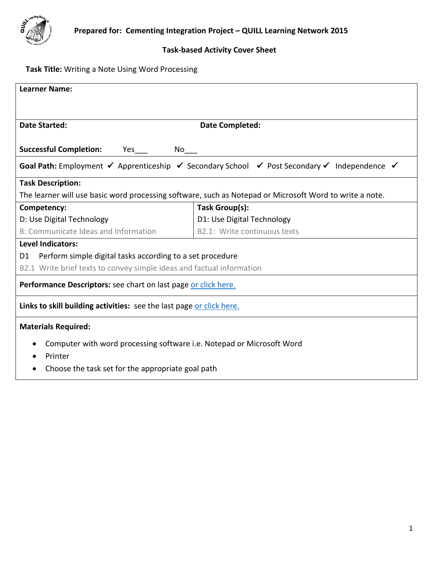

# **Task-based Activity Cover Sheet**

# **Task Title:** Writing a Note Using Word Processing

| <b>Learner Name:</b>                                                                                                                                      |                              |  |  |  |
|-----------------------------------------------------------------------------------------------------------------------------------------------------------|------------------------------|--|--|--|
|                                                                                                                                                           |                              |  |  |  |
|                                                                                                                                                           |                              |  |  |  |
| <b>Date Started:</b>                                                                                                                                      | <b>Date Completed:</b>       |  |  |  |
| <b>Successful Completion:</b><br>$Yes$ $No$ $\qquad$                                                                                                      |                              |  |  |  |
| <b>Goal Path:</b> Employment $\checkmark$ Apprenticeship $\checkmark$ Secondary School $\checkmark$ Post Secondary $\checkmark$ Independence $\checkmark$ |                              |  |  |  |
| <b>Task Description:</b>                                                                                                                                  |                              |  |  |  |
| The learner will use basic word processing software, such as Notepad or Microsoft Word to write a note.                                                   |                              |  |  |  |
| Competency:                                                                                                                                               | Task Group(s):               |  |  |  |
| D: Use Digital Technology                                                                                                                                 | D1: Use Digital Technology   |  |  |  |
| B: Communicate Ideas and Information                                                                                                                      | B2.1: Write continuous texts |  |  |  |
| <b>Level Indicators:</b>                                                                                                                                  |                              |  |  |  |
| Perform simple digital tasks according to a set procedure<br>D1                                                                                           |                              |  |  |  |
| B2.1 Write brief texts to convey simple ideas and factual information                                                                                     |                              |  |  |  |
| Performance Descriptors: see chart on last page or click here.                                                                                            |                              |  |  |  |
| Links to skill building activities: see the last page or click here.                                                                                      |                              |  |  |  |
| <b>Materials Required:</b>                                                                                                                                |                              |  |  |  |
| Computer with word processing software i.e. Notepad or Microsoft Word                                                                                     |                              |  |  |  |
| Printer                                                                                                                                                   |                              |  |  |  |
| Choose the task set for the appropriate goal path<br>$\bullet$                                                                                            |                              |  |  |  |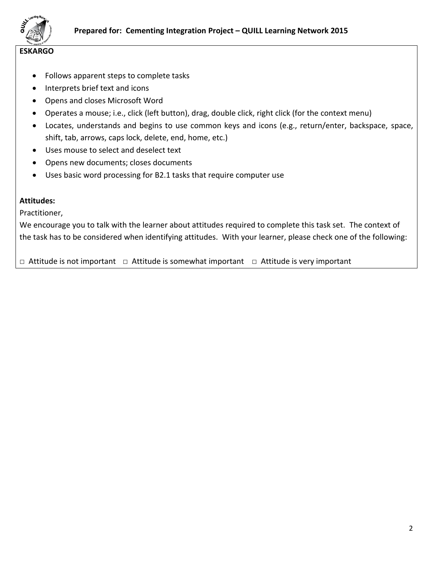

#### **ESKARGO**

- Follows apparent steps to complete tasks
- Interprets brief text and icons
- Opens and closes Microsoft Word
- Operates a mouse; i.e., click (left button), drag, double click, right click (for the context menu)
- Locates, understands and begins to use common keys and icons (e.g., return/enter, backspace, space, shift, tab, arrows, caps lock, delete, end, home, etc.)
- Uses mouse to select and deselect text
- Opens new documents; closes documents
- Uses basic word processing for B2.1 tasks that require computer use

#### **Attitudes:**

Practitioner,

We encourage you to talk with the learner about attitudes required to complete this task set. The context of the task has to be considered when identifying attitudes. With your learner, please check one of the following:

□ Attitude is not important □ Attitude is somewhat important □ Attitude is very important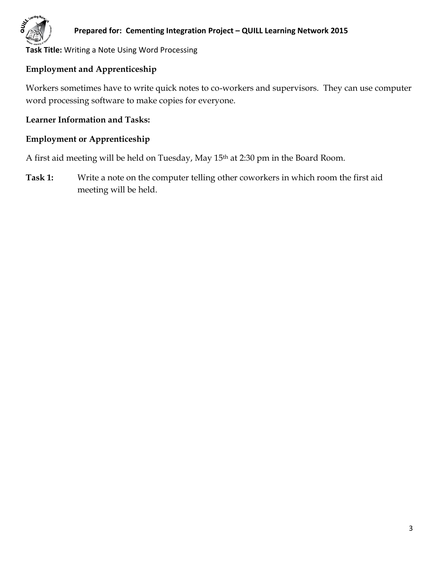

## **Prepared for: Cementing Integration Project – QUILL Learning Network 2015**

**Task Title:** Writing a Note Using Word Processing

# **Employment and Apprenticeship**

Workers sometimes have to write quick notes to co-workers and supervisors. They can use computer word processing software to make copies for everyone.

## **Learner Information and Tasks:**

## **Employment or Apprenticeship**

A first aid meeting will be held on Tuesday, May 15th at 2:30 pm in the Board Room.

**Task 1:** Write a note on the computer telling other coworkers in which room the first aid meeting will be held.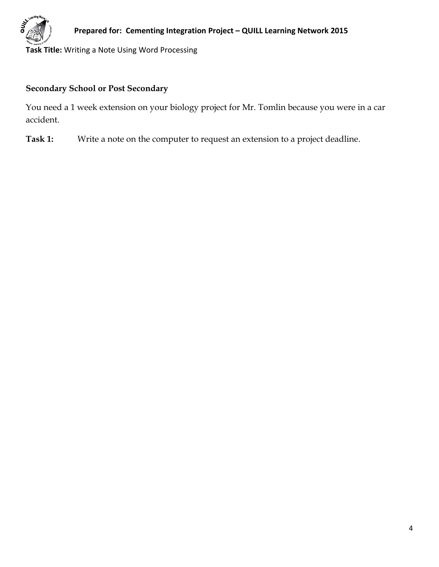

# **Secondary School or Post Secondary**

You need a 1 week extension on your biology project for Mr. Tomlin because you were in a car accident.

**Task 1:** Write a note on the computer to request an extension to a project deadline.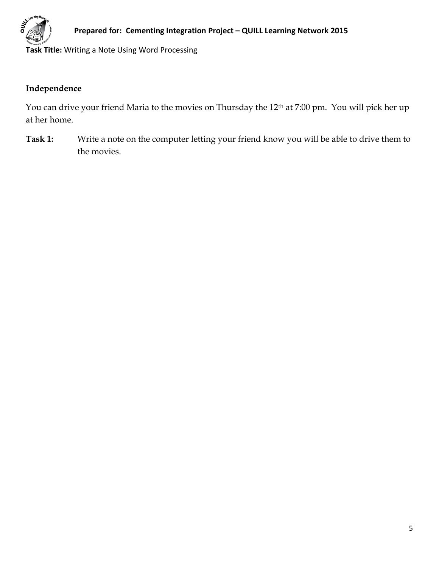

# **Independence**

You can drive your friend Maria to the movies on Thursday the 12<sup>th</sup> at 7:00 pm. You will pick her up at her home.

**Task 1:** Write a note on the computer letting your friend know you will be able to drive them to the movies.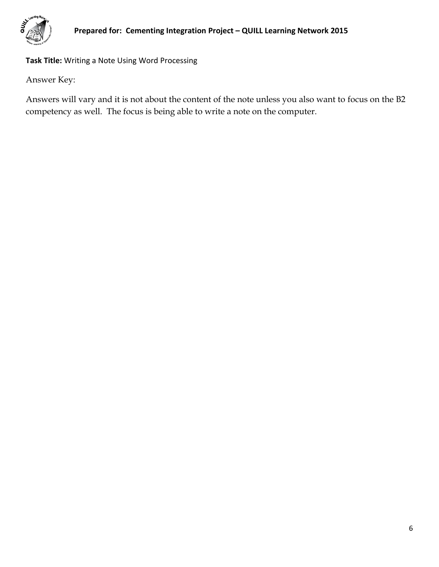

Answer Key:

Answers will vary and it is not about the content of the note unless you also want to focus on the B2 competency as well. The focus is being able to write a note on the computer.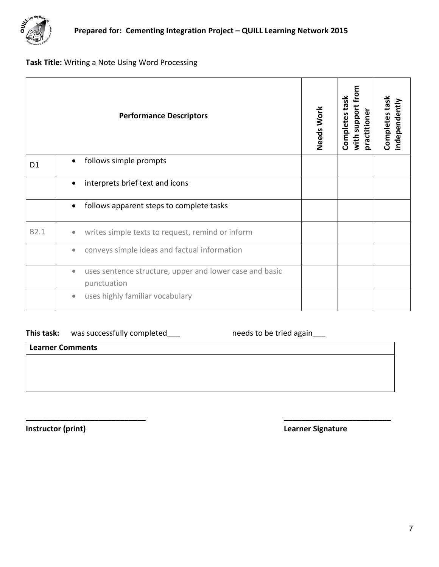

<span id="page-6-0"></span>

| <b>Performance Descriptors</b> |                                                                                     | Needs Work | with support from<br>Completes task<br>practitioner | Completes task<br>independently |
|--------------------------------|-------------------------------------------------------------------------------------|------------|-----------------------------------------------------|---------------------------------|
| D <sub>1</sub>                 | follows simple prompts<br>$\bullet$                                                 |            |                                                     |                                 |
|                                | interprets brief text and icons<br>$\bullet$                                        |            |                                                     |                                 |
|                                | follows apparent steps to complete tasks<br>$\bullet$                               |            |                                                     |                                 |
| B2.1                           | writes simple texts to request, remind or inform<br>$\bullet$                       |            |                                                     |                                 |
|                                | conveys simple ideas and factual information<br>$\bullet$                           |            |                                                     |                                 |
|                                | uses sentence structure, upper and lower case and basic<br>$\bullet$<br>punctuation |            |                                                     |                                 |
|                                | uses highly familiar vocabulary<br>$\bullet$                                        |            |                                                     |                                 |

**\_\_\_\_\_\_\_\_\_\_\_\_\_\_\_\_\_\_\_\_\_\_\_\_\_\_\_\_ \_\_\_\_\_\_\_\_\_\_\_\_\_\_\_\_\_\_\_\_\_\_\_\_\_**

# This task: was successfully completed\_\_\_ needs to be tried again\_\_\_

**Learner Comments**

**Instructor (print) Learner Signature**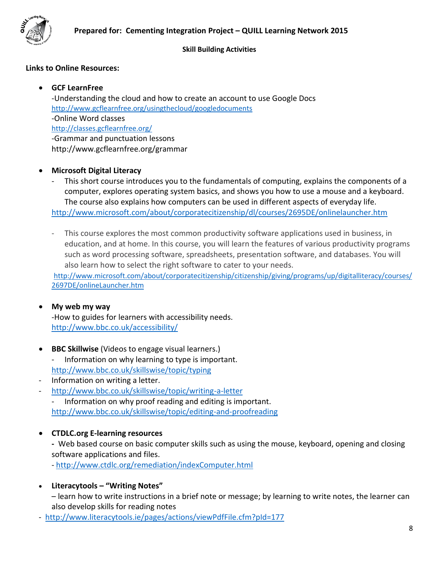

#### **Skill Building Activities**

## **Links to Online Resources:**

## **GCF LearnFree**

-Understanding the cloud and how to create an account to use Google Docs <http://www.gcflearnfree.org/usingthecloud/googledocuments> -Online Word classes <http://classes.gcflearnfree.org/> -Grammar and punctuation lessons http://www.gcflearnfree.org/grammar

#### **Microsoft Digital Literacy**

This short course introduces you to the fundamentals of computing, explains the components of a computer, explores operating system basics, and shows you how to use a mouse and a keyboard. The course also explains how computers can be used in different aspects of everyday life. <http://www.microsoft.com/about/corporatecitizenship/dl/courses/2695DE/onlinelauncher.htm>

- This course explores the most common productivity software applications used in business, in education, and at home. In this course, you will learn the features of various productivity programs such as word processing software, spreadsheets, presentation software, and databases. You will also learn how to select the right software to cater to your needs.

[http://www.microsoft.com/about/corporatecitizenship/citizenship/giving/programs/up/digitalliteracy/courses/](http://www.microsoft.com/about/corporatecitizenship/citizenship/giving/programs/up/digitalliteracy/courses/2697DE/onlineLauncher.htm) [2697DE/onlineLauncher.htm](http://www.microsoft.com/about/corporatecitizenship/citizenship/giving/programs/up/digitalliteracy/courses/2697DE/onlineLauncher.htm)

#### **My web my way**

-How to guides for learners with accessibility needs. <http://www.bbc.co.uk/accessibility/>

- **BBC Skillwise** (Videos to engage visual learners.)
	- Information on why learning to type is important. <http://www.bbc.co.uk/skillswise/topic/typing>
- Information on writing a letter.
- <http://www.bbc.co.uk/skillswise/topic/writing-a-letter>

- Information on why proof reading and editing is important. <http://www.bbc.co.uk/skillswise/topic/editing-and-proofreading>

## **CTDLC.org E-learning resources**

**-** Web based course on basic computer skills such as using the mouse, keyboard, opening and closing software applications and files.

- <http://www.ctdlc.org/remediation/indexComputer.html>

## **Literacytools – "Writing Notes"**

– learn how to write instructions in a brief note or message; by learning to write notes, the learner can also develop skills for reading notes

- <http://www.literacytools.ie/pages/actions/viewPdfFile.cfm?pId=177>